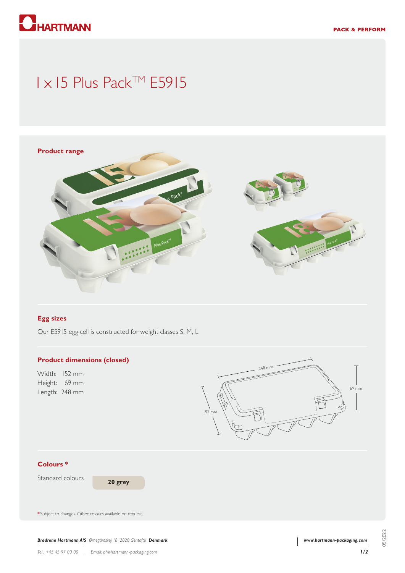

# 1 x 15 Plus Pack™ E5915



#### **Egg sizes**

Our E5915 egg cell is constructed for weight classes S, M, L

#### **Product dimensions (closed)**

Width: 152 mm Height: 69 mm Length: 248 mm



### **Colours \***

Standard colours

**20 grey**

**\*** Subject to changes. Other colours available on request.

*Brødrene Hartmann A/S Ørnegårdsvej 18 2820 Gentofte Denmark*